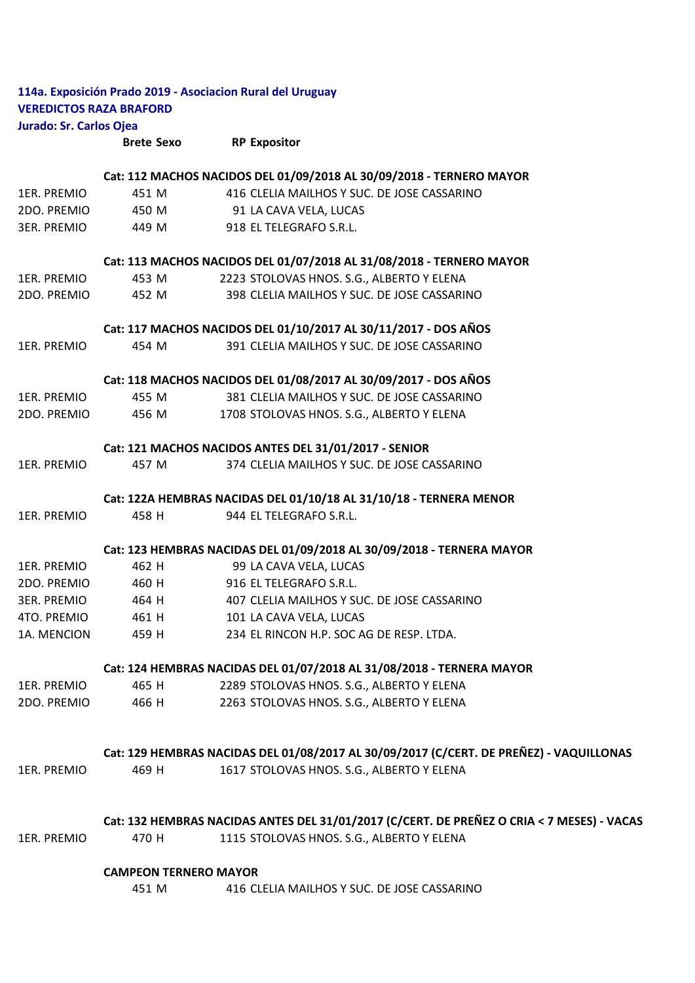|                                | <b>Brete Sexo</b> | <b>RP Expositor</b>                                        |  |
|--------------------------------|-------------------|------------------------------------------------------------|--|
| Jurado: Sr. Carlos Ojea        |                   |                                                            |  |
| <b>VEREDICTOS RAZA BRAFORD</b> |                   |                                                            |  |
|                                |                   | 114a. Exposición Prado 2019 - Asociacion Rural del Uruguay |  |

|             |                              | Cat: 112 MACHOS NACIDOS DEL 01/09/2018 AL 30/09/2018 - TERNERO MAYOR                       |
|-------------|------------------------------|--------------------------------------------------------------------------------------------|
| 1ER. PREMIO | 451 M                        | 416 CLELIA MAILHOS Y SUC. DE JOSE CASSARINO                                                |
| 2DO. PREMIO | 450 M                        | 91 LA CAVA VELA, LUCAS                                                                     |
| 3ER. PREMIO | 449 M                        | 918 EL TELEGRAFO S.R.L.                                                                    |
|             |                              | Cat: 113 MACHOS NACIDOS DEL 01/07/2018 AL 31/08/2018 - TERNERO MAYOR                       |
| 1ER. PREMIO | 453 M                        | 2223 STOLOVAS HNOS. S.G., ALBERTO Y ELENA                                                  |
| 2DO. PREMIO | 452 M                        | 398 CLELIA MAILHOS Y SUC. DE JOSE CASSARINO                                                |
|             |                              | Cat: 117 MACHOS NACIDOS DEL 01/10/2017 AL 30/11/2017 - DOS AÑOS                            |
| 1ER. PREMIO | 454 M                        | 391 CLELIA MAILHOS Y SUC. DE JOSE CASSARINO                                                |
|             |                              | Cat: 118 MACHOS NACIDOS DEL 01/08/2017 AL 30/09/2017 - DOS AÑOS                            |
| 1ER. PREMIO | 455 M                        | 381 CLELIA MAILHOS Y SUC. DE JOSE CASSARINO                                                |
| 2DO. PREMIO | 456 M                        | 1708 STOLOVAS HNOS. S.G., ALBERTO Y ELENA                                                  |
|             |                              | Cat: 121 MACHOS NACIDOS ANTES DEL 31/01/2017 - SENIOR                                      |
| 1ER. PREMIO | 457 M                        | 374 CLELIA MAILHOS Y SUC. DE JOSE CASSARINO                                                |
|             |                              | Cat: 122A HEMBRAS NACIDAS DEL 01/10/18 AL 31/10/18 - TERNERA MENOR                         |
| 1ER. PREMIO | 458 H                        | 944 EL TELEGRAFO S.R.L.                                                                    |
|             |                              | Cat: 123 HEMBRAS NACIDAS DEL 01/09/2018 AL 30/09/2018 - TERNERA MAYOR                      |
| 1ER. PREMIO | 462 H                        | 99 LA CAVA VELA, LUCAS                                                                     |
| 2DO. PREMIO | 460 H                        | 916 EL TELEGRAFO S.R.L.                                                                    |
| 3ER. PREMIO | 464 H                        | 407 CLELIA MAILHOS Y SUC. DE JOSE CASSARINO                                                |
| 4TO. PREMIO | 461 H                        | 101 LA CAVA VELA, LUCAS                                                                    |
| 1A. MENCION | 459 H                        | 234 EL RINCON H.P. SOC AG DE RESP. LTDA.                                                   |
|             |                              | Cat: 124 HEMBRAS NACIDAS DEL 01/07/2018 AL 31/08/2018 - TERNERA MAYOR                      |
| 1ER. PREMIO | 465 H                        | 2289 STOLOVAS HNOS. S.G., ALBERTO Y ELENA                                                  |
| 2DO. PREMIO | 466 H                        | 2263 STOLOVAS HNOS. S.G., ALBERTO Y ELENA                                                  |
|             |                              | Cat: 129 HEMBRAS NACIDAS DEL 01/08/2017 AL 30/09/2017 (C/CERT. DE PREÑEZ) - VAQUILLONAS    |
| 1ER. PREMIO | 469 H                        | 1617 STOLOVAS HNOS. S.G., ALBERTO Y ELENA                                                  |
|             |                              | Cat: 132 HEMBRAS NACIDAS ANTES DEL 31/01/2017 (C/CERT. DE PREÑEZ O CRIA < 7 MESES) - VACAS |
| 1ER. PREMIO | 470 H                        | 1115 STOLOVAS HNOS. S.G., ALBERTO Y ELENA                                                  |
|             | <b>CAMPEON TERNERO MAYOR</b> |                                                                                            |

451 M 416 CLELIA MAILHOS Y SUC. DE JOSE CASSARINO